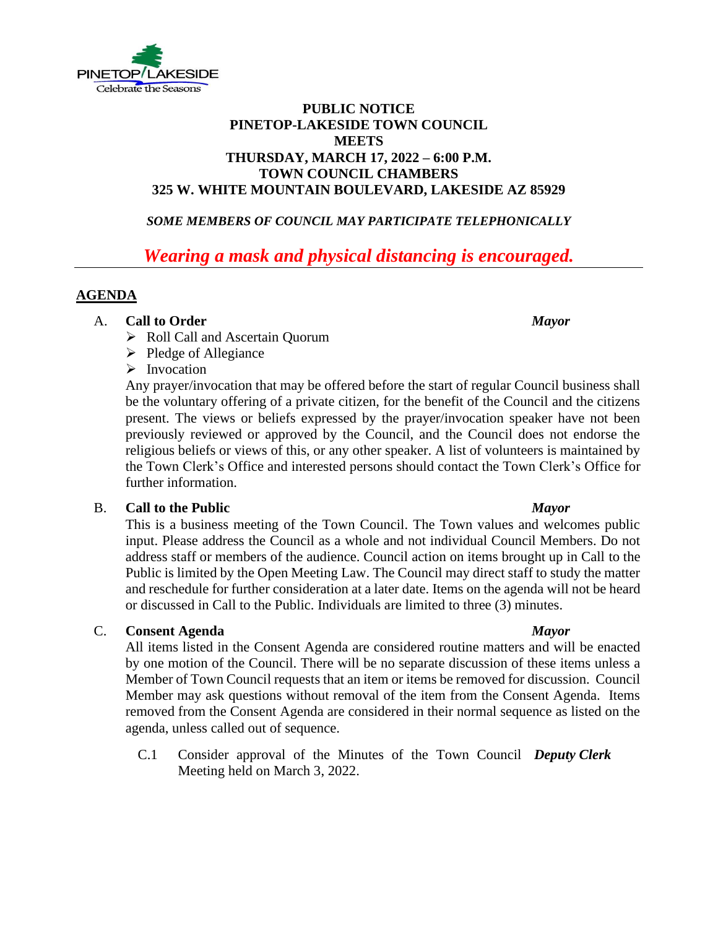

# **PUBLIC NOTICE PINETOP-LAKESIDE TOWN COUNCIL MEETS THURSDAY, MARCH 17, 2022 – 6:00 P.M. TOWN COUNCIL CHAMBERS 325 W. WHITE MOUNTAIN BOULEVARD, LAKESIDE AZ 85929**

# *SOME MEMBERS OF COUNCIL MAY PARTICIPATE TELEPHONICALLY*

# *Wearing a mask and physical distancing is encouraged.*

# **AGENDA**

### A. **Call to Order** *Mayor*

- ➢ Roll Call and Ascertain Quorum
- ➢ Pledge of Allegiance

# ➢ Invocation

Any prayer/invocation that may be offered before the start of regular Council business shall be the voluntary offering of a private citizen, for the benefit of the Council and the citizens present. The views or beliefs expressed by the prayer/invocation speaker have not been previously reviewed or approved by the Council, and the Council does not endorse the religious beliefs or views of this, or any other speaker. A list of volunteers is maintained by the Town Clerk's Office and interested persons should contact the Town Clerk's Office for further information.

### B. **Call to the Public** *Mayor*

This is a business meeting of the Town Council. The Town values and welcomes public input. Please address the Council as a whole and not individual Council Members. Do not address staff or members of the audience. Council action on items brought up in Call to the Public is limited by the Open Meeting Law. The Council may direct staff to study the matter and reschedule for further consideration at a later date. Items on the agenda will not be heard or discussed in Call to the Public. Individuals are limited to three (3) minutes.

### C. **Consent Agenda** *Mayor*

All items listed in the Consent Agenda are considered routine matters and will be enacted by one motion of the Council. There will be no separate discussion of these items unless a Member of Town Council requests that an item or items be removed for discussion. Council Member may ask questions without removal of the item from the Consent Agenda. Items removed from the Consent Agenda are considered in their normal sequence as listed on the agenda, unless called out of sequence.

C.1 Consider approval of the Minutes of the Town Council *Deputy Clerk*Meeting held on March 3, 2022.